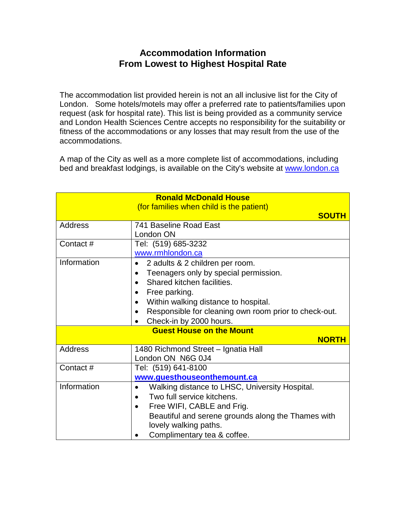## **Accommodation Information From Lowest to Highest Hospital Rate**

The accommodation list provided herein is not an all inclusive list for the City of London. Some hotels/motels may offer a preferred rate to patients/families upon request (ask for hospital rate). This list is being provided as a community service and London Health Sciences Centre accepts no responsibility for the suitability or fitness of the accommodations or any losses that may result from the use of the accommodations.

A map of the City as well as a more complete list of accommodations, including bed and breakfast lodgings, is available on the City's website at www.london.ca

| <b>Ronald McDonald House</b><br>(for families when child is the patient) |                                                                                                                                                                                                                                                                                                         |
|--------------------------------------------------------------------------|---------------------------------------------------------------------------------------------------------------------------------------------------------------------------------------------------------------------------------------------------------------------------------------------------------|
|                                                                          | <b>SOUTH</b>                                                                                                                                                                                                                                                                                            |
| Address                                                                  | 741 Baseline Road East<br>London ON                                                                                                                                                                                                                                                                     |
| Contact#                                                                 | Tel: (519) 685-3232<br>www.rmhlondon.ca                                                                                                                                                                                                                                                                 |
| Information                                                              | 2 adults & 2 children per room.<br>$\bullet$<br>Teenagers only by special permission.<br>$\bullet$<br>Shared kitchen facilities.<br>$\bullet$<br>Free parking.<br>$\bullet$<br>Within walking distance to hospital.<br>Responsible for cleaning own room prior to check-out.<br>Check-in by 2000 hours. |
| <b>Guest House on the Mount</b><br><b>NORTH</b>                          |                                                                                                                                                                                                                                                                                                         |
| Address                                                                  | 1480 Richmond Street - Ignatia Hall<br>London ON N6G 0J4                                                                                                                                                                                                                                                |
| Contact#                                                                 | Tel: (519) 641-8100<br>www.guesthouseonthemount.ca                                                                                                                                                                                                                                                      |
| Information                                                              | Walking distance to LHSC, University Hospital.<br>Two full service kitchens.<br>$\bullet$<br>Free WIFI, CABLE and Frig.<br>$\bullet$<br>Beautiful and serene grounds along the Thames with<br>lovely walking paths.<br>Complimentary tea & coffee.                                                      |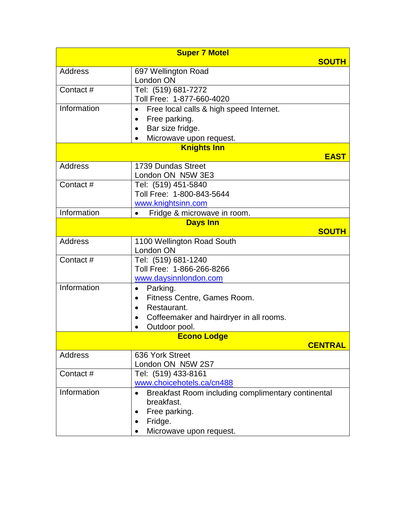|                | <b>Super 7 Motel</b>                                                               |
|----------------|------------------------------------------------------------------------------------|
|                | <b>SOUTH</b>                                                                       |
| Address        | 697 Wellington Road                                                                |
|                | London ON                                                                          |
| Contact#       | Tel: (519) 681-7272                                                                |
|                | Toll Free: 1-877-660-4020                                                          |
| Information    | Free local calls & high speed Internet.<br>$\bullet$                               |
|                | Free parking.<br>$\bullet$                                                         |
|                | Bar size fridge.<br>$\bullet$                                                      |
|                | Microwave upon request.                                                            |
|                | <b>Knights Inn</b><br><b>EAST</b>                                                  |
| Address        | 1739 Dundas Street                                                                 |
|                | London ON N5W 3E3                                                                  |
| Contact#       | Tel: (519) 451-5840                                                                |
|                | Toll Free: 1-800-843-5644                                                          |
|                | www.knightsinn.com                                                                 |
| Information    | Fridge & microwave in room.                                                        |
|                | <b>Days Inn</b>                                                                    |
|                | <b>SOUTH</b>                                                                       |
| <b>Address</b> | 1100 Wellington Road South                                                         |
|                | London ON                                                                          |
| Contact#       | Tel: (519) 681-1240                                                                |
|                | Toll Free: 1-866-266-8266                                                          |
| Information    | www.daysinnlondon.com                                                              |
|                | Parking.<br>$\bullet$                                                              |
|                | Fitness Centre, Games Room.<br>Restaurant.                                         |
|                | $\bullet$                                                                          |
|                | Coffeemaker and hairdryer in all rooms.<br>$\bullet$<br>Outdoor pool.<br>$\bullet$ |
|                | <b>Econo Lodge</b>                                                                 |
|                | <u>CENTRAL</u>                                                                     |
| Address        | 636 York Street                                                                    |
|                | London ON N5W 2S7                                                                  |
| Contact#       | Tel: (519) 433-8161                                                                |
|                | www.choicehotels.ca/cn488                                                          |
| Information    | Breakfast Room including complimentary continental                                 |
|                | breakfast.                                                                         |
|                | Free parking.<br>$\bullet$                                                         |
|                | Fridge.<br>$\bullet$                                                               |
|                | Microwave upon request.                                                            |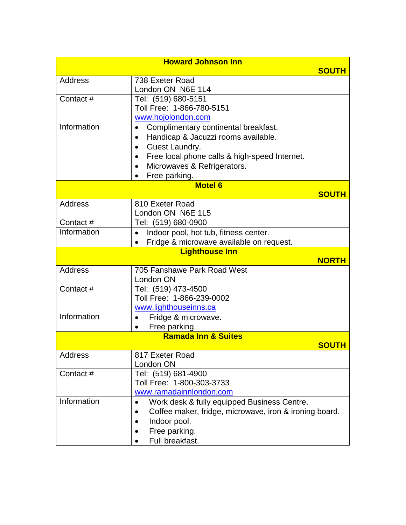| <b>Howard Johnson Inn</b> |                                                                             |              |
|---------------------------|-----------------------------------------------------------------------------|--------------|
|                           |                                                                             | <b>SOUTH</b> |
| Address                   | 738 Exeter Road                                                             |              |
|                           | London ON N6E 1L4                                                           |              |
| Contact#                  | Tel: (519) 680-5151                                                         |              |
|                           | Toll Free: 1-866-780-5151                                                   |              |
| Information               | www.hojolondon.com                                                          |              |
|                           | Complimentary continental breakfast.<br>Handicap & Jacuzzi rooms available. |              |
|                           | Guest Laundry.                                                              |              |
|                           | Free local phone calls & high-speed Internet.                               |              |
|                           | Microwaves & Refrigerators.<br>$\bullet$                                    |              |
|                           | Free parking.<br>$\bullet$                                                  |              |
|                           | <b>Motel 6</b>                                                              |              |
|                           |                                                                             | <b>SOUTH</b> |
| <b>Address</b>            | 810 Exeter Road                                                             |              |
|                           | London ON N6E 1L5                                                           |              |
| Contact#                  | Tel: (519) 680-0900                                                         |              |
| Information               | Indoor pool, hot tub, fitness center.<br>$\bullet$                          |              |
|                           | Fridge & microwave available on request.                                    |              |
|                           | <b>Lighthouse Inn</b>                                                       | <b>NORTH</b> |
| <b>Address</b>            | 705 Fanshawe Park Road West                                                 |              |
|                           | London ON                                                                   |              |
| Contact#                  | Tel: (519) 473-4500                                                         |              |
|                           | Toll Free: 1-866-239-0002                                                   |              |
|                           | www.lighthouseinns.ca                                                       |              |
| Information               | Fridge & microwave.<br>$\bullet$                                            |              |
|                           | Free parking.<br>$\bullet$                                                  |              |
|                           | <b>Ramada Inn &amp; Suites</b>                                              |              |
|                           |                                                                             | <u>SOUTH</u> |
| <b>Address</b>            | 817 Exeter Road<br>London ON                                                |              |
| Contact#                  | Tel: (519) 681-4900                                                         |              |
|                           | Toll Free: 1-800-303-3733                                                   |              |
|                           | www.ramadainnlondon.com                                                     |              |
| Information               | Work desk & fully equipped Business Centre.                                 |              |
|                           | Coffee maker, fridge, microwave, iron & ironing board.                      |              |
|                           | Indoor pool.                                                                |              |
|                           | Free parking.                                                               |              |
|                           | Full breakfast.                                                             |              |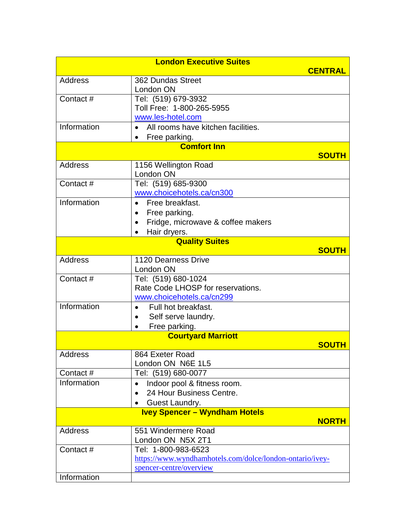|                | <b>London Executive Suites</b>                                                                                  | <b>CENTRAL</b> |
|----------------|-----------------------------------------------------------------------------------------------------------------|----------------|
| Address        | 362 Dundas Street<br>London ON                                                                                  |                |
| Contact #      | Tel: (519) 679-3932<br>Toll Free: 1-800-265-5955<br>www.les-hotel.com                                           |                |
| Information    | All rooms have kitchen facilities.<br>Free parking.<br>$\bullet$                                                |                |
|                | <b>Comfort Inn</b>                                                                                              |                |
| Address        | 1156 Wellington Road<br>London ON                                                                               | <b>SOUTH</b>   |
| Contact#       | Tel: (519) 685-9300<br>www.choicehotels.ca/cn300                                                                |                |
| Information    | Free breakfast.<br>Free parking.<br>$\bullet$<br>Fridge, microwave & coffee makers<br>Hair dryers.<br>$\bullet$ |                |
|                | <b>Quality Suites</b>                                                                                           | <b>SOUTH</b>   |
| Address        | 1120 Dearness Drive<br>London ON                                                                                |                |
| Contact#       | Tel: (519) 680-1024<br>Rate Code LHOSP for reservations.<br>www.choicehotels.ca/cn299                           |                |
| Information    | Full hot breakfast.<br>Self serve laundry.<br>$\bullet$<br>Free parking.                                        |                |
|                | <b>Courtyard Marriott</b>                                                                                       |                |
|                |                                                                                                                 | <b>SOUTH</b>   |
| <b>Address</b> | 864 Exeter Road<br>London ON N6E 1L5                                                                            |                |
| Contact#       | Tel: (519) 680-0077                                                                                             |                |
| Information    | Indoor pool & fitness room.<br>24 Hour Business Centre.<br>Guest Laundry.<br>$\bullet$                          |                |
|                | <b>Ivey Spencer - Wyndham Hotels</b>                                                                            | <b>NORTH</b>   |
| Address        | 551 Windermere Road<br>London ON N5X 2T1                                                                        |                |
| Contact#       | Tel: 1-800-983-6523<br>https://www.wyndhamhotels.com/dolce/london-ontario/ivey-<br>spencer-centre/overview      |                |
| Information    |                                                                                                                 |                |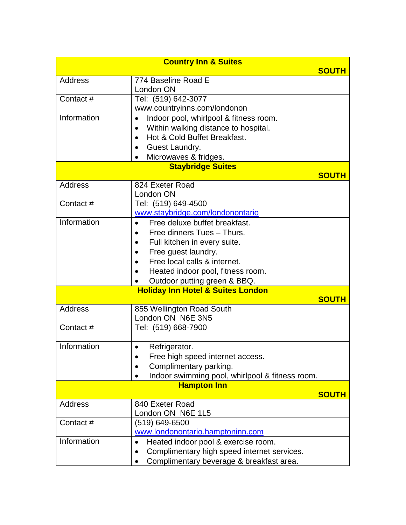| <b>Country Inn &amp; Suites</b> |                                                              |              |
|---------------------------------|--------------------------------------------------------------|--------------|
|                                 |                                                              | <b>SOUTH</b> |
| Address                         | 774 Baseline Road E                                          |              |
|                                 | London ON                                                    |              |
| Contact#                        | Tel: (519) 642-3077                                          |              |
|                                 | www.countryinns.com/londonon                                 |              |
| Information                     | Indoor pool, whirlpool & fitness room.<br>$\bullet$          |              |
|                                 | Within walking distance to hospital.                         |              |
|                                 | Hot & Cold Buffet Breakfast.                                 |              |
|                                 | Guest Laundry.                                               |              |
|                                 | Microwaves & fridges.<br>$\bullet$                           |              |
|                                 | <b>Staybridge Suites</b>                                     |              |
|                                 |                                                              | <b>SOUTH</b> |
| <b>Address</b>                  | 824 Exeter Road<br>London ON                                 |              |
| Contact #                       | Tel: (519) 649-4500                                          |              |
|                                 | www.staybridge.com/londonontario                             |              |
| Information                     | Free deluxe buffet breakfast.<br>$\bullet$                   |              |
|                                 | Free dinners Tues - Thurs.                                   |              |
|                                 | Full kitchen in every suite.                                 |              |
|                                 | Free guest laundry.                                          |              |
|                                 | Free local calls & internet.<br>$\bullet$                    |              |
|                                 | Heated indoor pool, fitness room.<br>$\bullet$               |              |
|                                 | Outdoor putting green & BBQ.                                 |              |
|                                 | <b>Holiday Inn Hotel &amp; Suites London</b>                 |              |
|                                 |                                                              | <b>SOUTH</b> |
| <b>Address</b>                  | 855 Wellington Road South                                    |              |
|                                 | London ON N6E 3N5                                            |              |
| Contact#                        | Tel: (519) 668-7900                                          |              |
|                                 |                                                              |              |
| Information                     | Refrigerator.<br>$\bullet$                                   |              |
|                                 | Free high speed internet access.                             |              |
|                                 | Complimentary parking.                                       |              |
|                                 | Indoor swimming pool, whirlpool & fitness room.<br>$\bullet$ |              |
|                                 | <b>Hampton Inn</b>                                           |              |
|                                 |                                                              | <b>SOUTH</b> |
| <b>Address</b>                  | 840 Exeter Road                                              |              |
|                                 | London ON N6E 1L5                                            |              |
| Contact#                        | (519) 649-6500                                               |              |
| Information                     | www.londonontario.hamptoninn.com                             |              |
|                                 | Heated indoor pool & exercise room.<br>$\bullet$             |              |
|                                 | Complimentary high speed internet services.<br>٠             |              |
|                                 | Complimentary beverage & breakfast area.                     |              |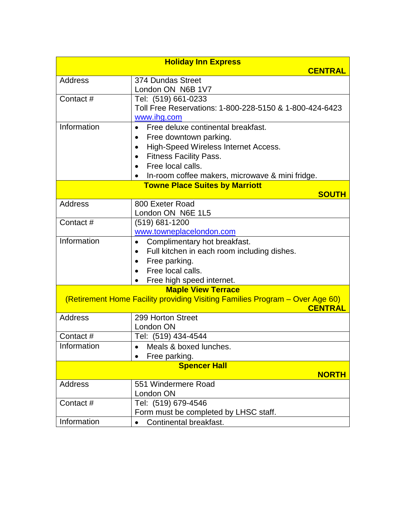| <b>Holiday Inn Express</b>                                                                     |                                                          |
|------------------------------------------------------------------------------------------------|----------------------------------------------------------|
|                                                                                                | <b>CENTRAL</b>                                           |
| Address                                                                                        | 374 Dundas Street                                        |
|                                                                                                | London ON N6B 1V7                                        |
| Contact #                                                                                      | Tel: (519) 661-0233                                      |
|                                                                                                | Toll Free Reservations: 1-800-228-5150 & 1-800-424-6423  |
|                                                                                                | www.ihg.com                                              |
| Information                                                                                    | Free deluxe continental breakfast.<br>$\bullet$          |
|                                                                                                | Free downtown parking.<br>$\bullet$                      |
|                                                                                                | High-Speed Wireless Internet Access.<br>$\bullet$        |
|                                                                                                | <b>Fitness Facility Pass.</b><br>$\bullet$               |
|                                                                                                | Free local calls.<br>$\bullet$                           |
|                                                                                                | • In-room coffee makers, microwave & mini fridge.        |
|                                                                                                | <b>Towne Place Suites by Marriott</b>                    |
|                                                                                                | <b>SOUTH</b>                                             |
| <b>Address</b>                                                                                 | 800 Exeter Road                                          |
|                                                                                                | London ON N6E 1L5                                        |
| Contact#                                                                                       | $(519)$ 681-1200                                         |
|                                                                                                | www.towneplacelondon.com                                 |
| Information                                                                                    | Complimentary hot breakfast.<br>$\bullet$                |
|                                                                                                | Full kitchen in each room including dishes.<br>$\bullet$ |
|                                                                                                | Free parking.<br>$\bullet$                               |
|                                                                                                | Free local calls.<br>$\bullet$                           |
|                                                                                                | Free high speed internet.<br>$\bullet$                   |
|                                                                                                | <b>Maple View Terrace</b>                                |
| (Retirement Home Facility providing Visiting Families Program - Over Age 60)<br><b>CENTRAL</b> |                                                          |
| <b>Address</b>                                                                                 | 299 Horton Street                                        |
|                                                                                                | London ON                                                |
| Contact #                                                                                      | Tel: (519) 434-4544                                      |
| Information                                                                                    | Meals & boxed lunches.<br>$\bullet$                      |
|                                                                                                | Free parking.                                            |
|                                                                                                | <b>Spencer Hall</b>                                      |
|                                                                                                | <b>NORTH</b>                                             |
| Address                                                                                        | 551 Windermere Road                                      |
|                                                                                                | London ON                                                |
| Contact#                                                                                       | Tel: (519) 679-4546                                      |
|                                                                                                | Form must be completed by LHSC staff.                    |
| Information                                                                                    | Continental breakfast.                                   |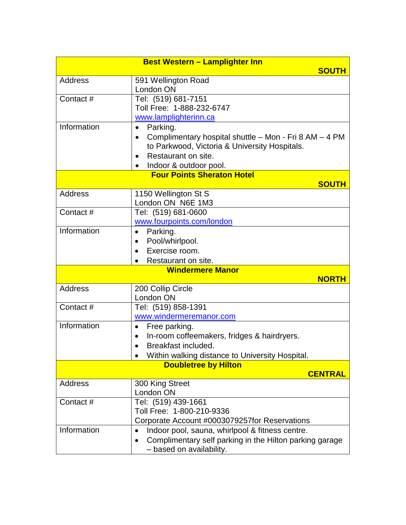|                | <b>Best Western - Lamplighter Inn</b>                                |
|----------------|----------------------------------------------------------------------|
|                | <b>SOUTH</b>                                                         |
| Address        | 591 Wellington Road                                                  |
|                | London ON                                                            |
| Contact#       | Tel: (519) 681-7151                                                  |
|                | Toll Free: 1-888-232-6747                                            |
|                | www.lamplighterinn.ca                                                |
| Information    | Parking.<br>$\bullet$                                                |
|                | Complimentary hospital shuttle - Mon - Fri 8 AM - 4 PM<br>$\bullet$  |
|                | to Parkwood, Victoria & University Hospitals.                        |
|                | Restaurant on site.<br>$\bullet$                                     |
|                | Indoor & outdoor pool.                                               |
|                | <b>Four Points Sheraton Hotel</b>                                    |
|                | <b>SOUTH</b>                                                         |
| <b>Address</b> | 1150 Wellington St S                                                 |
|                | London ON N6E 1M3                                                    |
| Contact#       | Tel: (519) 681-0600                                                  |
|                | www.fourpoints.com/london                                            |
| Information    | Parking.<br>$\bullet$                                                |
|                | Pool/whirlpool.<br>٠                                                 |
|                | Exercise room.                                                       |
|                | Restaurant on site.<br>$\bullet$                                     |
|                | <b>Windermere Manor</b>                                              |
|                | <b>NORTH</b>                                                         |
| <b>Address</b> | 200 Collip Circle                                                    |
|                | London ON                                                            |
| Contact#       | Tel: (519) 858-1391                                                  |
|                | www.windermeremanor.com                                              |
| Information    | Free parking.<br>٠                                                   |
|                | In-room coffeemakers, fridges & hairdryers.<br>$\bullet$             |
|                | Breakfast included.                                                  |
|                | Within walking distance to University Hospital.                      |
|                | <b>Doubletree by Hilton</b>                                          |
|                | <b>CENTRAL</b>                                                       |
| Address        | 300 King Street                                                      |
|                | London ON                                                            |
| Contact#       | Tel: (519) 439-1661                                                  |
|                | Toll Free: 1-800-210-9336                                            |
|                | Corporate Account #0003079257for Reservations                        |
| Information    | Indoor pool, sauna, whirlpool & fitness centre.                      |
|                | Complimentary self parking in the Hilton parking garage<br>$\bullet$ |
|                | - based on availability.                                             |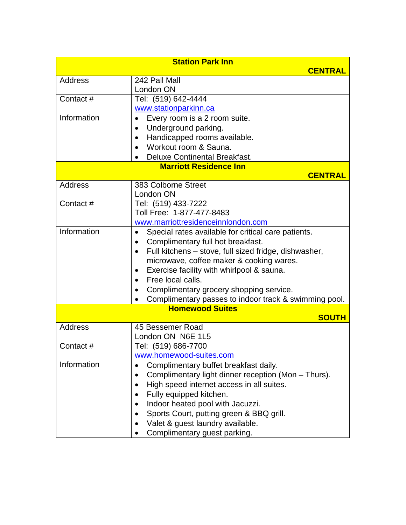| <b>Station Park Inn</b> |                                                                                 |
|-------------------------|---------------------------------------------------------------------------------|
|                         | <b>CENTRAL</b>                                                                  |
| <b>Address</b>          | 242 Pall Mall                                                                   |
|                         | London ON                                                                       |
| Contact #               | Tel: (519) 642-4444                                                             |
|                         | www.stationparkinn.ca                                                           |
| Information             | Every room is a 2 room suite.<br>$\bullet$                                      |
|                         | Underground parking.<br>$\bullet$                                               |
|                         | Handicapped rooms available.<br>$\bullet$                                       |
|                         | Workout room & Sauna.                                                           |
|                         | Deluxe Continental Breakfast.<br>$\bullet$                                      |
|                         | <b>Marriott Residence Inn</b>                                                   |
|                         | <b>CENTRAL</b>                                                                  |
| Address                 | 383 Colborne Street                                                             |
|                         | London ON                                                                       |
| Contact#                | Tel: (519) 433-7222<br>Toll Free: 1-877-477-8483                                |
|                         |                                                                                 |
| Information             | www.marriottresidenceinnlondon.com                                              |
|                         | Special rates available for critical care patients.<br>$\bullet$                |
|                         | Complimentary full hot breakfast.<br>$\bullet$                                  |
|                         | Full kitchens - stove, full sized fridge, dishwasher,<br>$\bullet$              |
|                         | microwave, coffee maker & cooking wares.                                        |
|                         | Exercise facility with whirlpool & sauna.<br>Free local calls.                  |
|                         | $\bullet$                                                                       |
|                         | Complimentary grocery shopping service.<br>$\bullet$                            |
|                         | Complimentary passes to indoor track & swimming pool.<br><b>Homewood Suites</b> |
|                         | <b>SOUTH</b>                                                                    |
| <b>Address</b>          | 45 Bessemer Road                                                                |
|                         | London ON N6E 1L5                                                               |
| Contact#                | Tel: (519) 686-7700                                                             |
|                         | www.homewood-suites.com                                                         |
| Information             | Complimentary buffet breakfast daily.<br>$\bullet$                              |
|                         | Complimentary light dinner reception (Mon - Thurs).                             |
|                         | High speed internet access in all suites.                                       |
|                         | Fully equipped kitchen.                                                         |
|                         | Indoor heated pool with Jacuzzi.                                                |
|                         | Sports Court, putting green & BBQ grill.                                        |
|                         | Valet & guest laundry available.                                                |
|                         | Complimentary guest parking.                                                    |